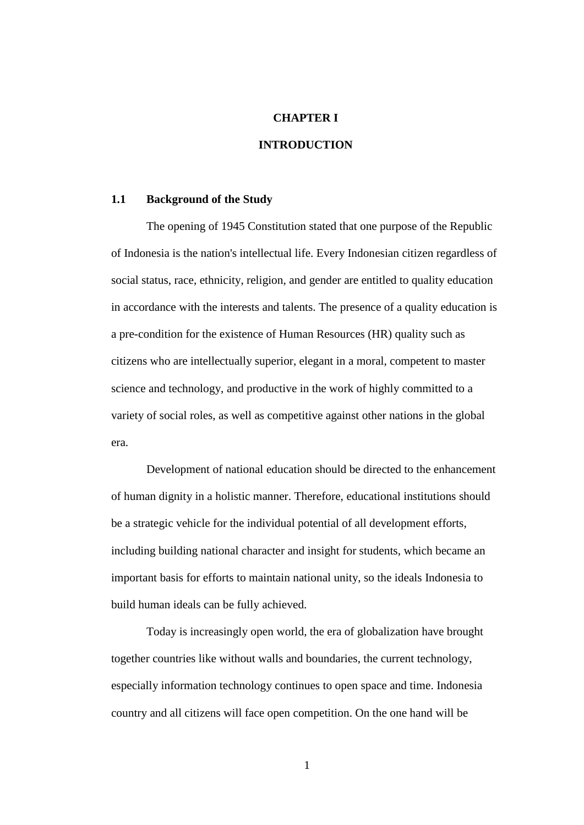## **CHAPTER I**

## **INTRODUCTION**

## **1.1 Background of the Study**

The opening of 1945 Constitution stated that one purpose of the Republic of Indonesia is the nation's intellectual life. Every Indonesian citizen regardless of social status, race, ethnicity, religion, and gender are entitled to quality education in accordance with the interests and talents. The presence of a quality education is a pre-condition for the existence of Human Resources (HR) quality such as citizens who are intellectually superior, elegant in a moral, competent to master science and technology, and productive in the work of highly committed to a variety of social roles, as well as competitive against other nations in the global era.

Development of national education should be directed to the enhancement of human dignity in a holistic manner. Therefore, educational institutions should be a strategic vehicle for the individual potential of all development efforts, including building national character and insight for students, which became an important basis for efforts to maintain national unity, so the ideals Indonesia to build human ideals can be fully achieved.

Today is increasingly open world, the era of globalization have brought together countries like without walls and boundaries, the current technology, especially information technology continues to open space and time. Indonesia country and all citizens will face open competition. On the one hand will be

1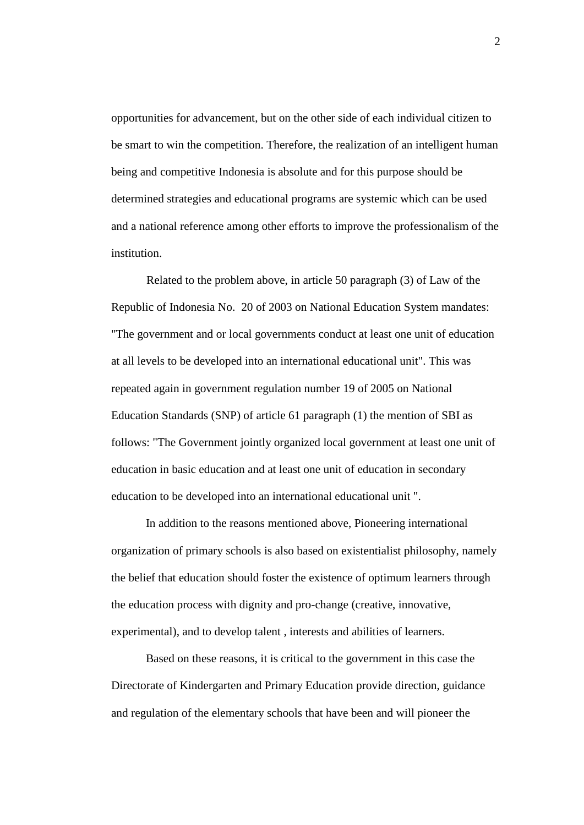opportunities for advancement, but on the other side of each individual citizen to be smart to win the competition. Therefore, the realization of an intelligent human being and competitive Indonesia is absolute and for this purpose should be determined strategies and educational programs are systemic which can be used and a national reference among other efforts to improve the professionalism of the institution.

Related to the problem above, in article 50 paragraph (3) of Law of the Republic of Indonesia No. 20 of 2003 on National Education System mandates: "The government and or local governments conduct at least one unit of education at all levels to be developed into an international educational unit". This was repeated again in government regulation number 19 of 2005 on National Education Standards (SNP) of article 61 paragraph (1) the mention of SBI as follows: "The Government jointly organized local government at least one unit of education in basic education and at least one unit of education in secondary education to be developed into an international educational unit ".

In addition to the reasons mentioned above, Pioneering international organization of primary schools is also based on existentialist philosophy, namely the belief that education should foster the existence of optimum learners through the education process with dignity and pro-change (creative, innovative, experimental), and to develop talent , interests and abilities of learners.

Based on these reasons, it is critical to the government in this case the Directorate of Kindergarten and Primary Education provide direction, guidance and regulation of the elementary schools that have been and will pioneer the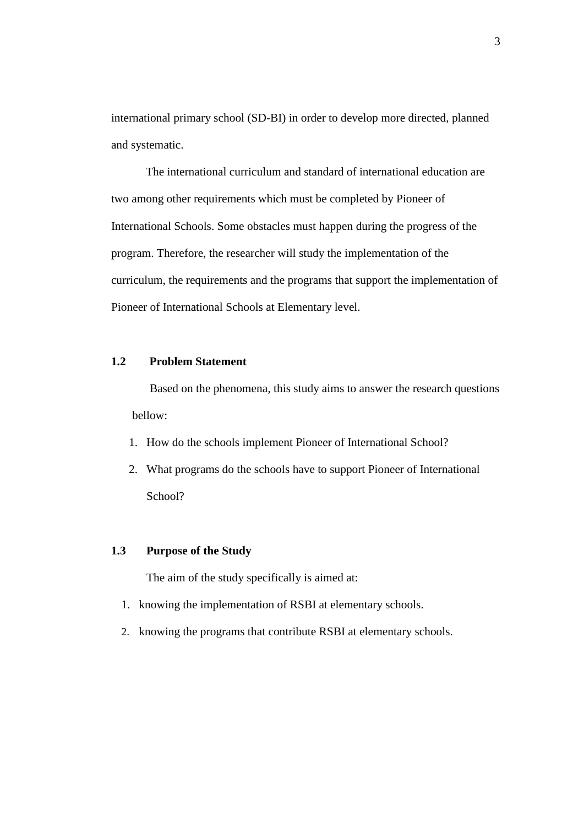international primary school (SD-BI) in order to develop more directed, planned and systematic.

The international curriculum and standard of international education are two among other requirements which must be completed by Pioneer of International Schools. Some obstacles must happen during the progress of the program. Therefore, the researcher will study the implementation of the curriculum, the requirements and the programs that support the implementation of Pioneer of International Schools at Elementary level.

# **1.2 Problem Statement**

Based on the phenomena, this study aims to answer the research questions bellow:

- 1. How do the schools implement Pioneer of International School?
- 2. What programs do the schools have to support Pioneer of International School?

### **1.3 Purpose of the Study**

The aim of the study specifically is aimed at:

- 1. knowing the implementation of RSBI at elementary schools.
- 2. knowing the programs that contribute RSBI at elementary schools.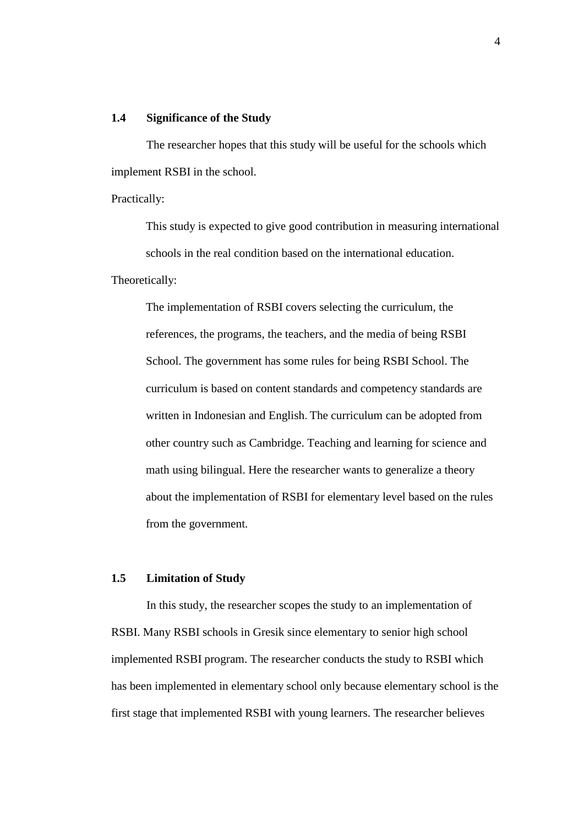### **1.4 Significance of the Study**

The researcher hopes that this study will be useful for the schools which implement RSBI in the school.

Practically:

This study is expected to give good contribution in measuring international schools in the real condition based on the international education.

Theoretically:

The implementation of RSBI covers selecting the curriculum, the references, the programs, the teachers, and the media of being RSBI School. The government has some rules for being RSBI School. The curriculum is based on content standards and competency standards are written in Indonesian and English. The curriculum can be adopted from other country such as Cambridge. Teaching and learning for science and math using bilingual. Here the researcher wants to generalize a theory about the implementation of RSBI for elementary level based on the rules from the government.

## **1.5 Limitation of Study**

In this study, the researcher scopes the study to an implementation of RSBI. Many RSBI schools in Gresik since elementary to senior high school implemented RSBI program. The researcher conducts the study to RSBI which has been implemented in elementary school only because elementary school is the first stage that implemented RSBI with young learners. The researcher believes